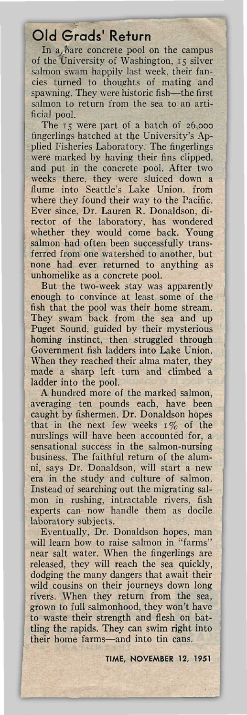## Old Grads' Return

In a bare concrete pool on the campus of the University of Washington, 15 silver salmon swam happily last week, their fancies turned to thoughts of mating and spawning. They were historic fish—the first salmon to return from the sea to an artificial pool.

The 15 were part of a batch of 26,000 fingerlings hatched at the University's Applied Fisheries Laboratory. The fingerlings were marked by having their fins clipped, and put in the concrete pool. After two weeks there, they were sluiced down a flume into Seattle's Lake Union, from where they found their way to the Pacific. Ever since, Dr. Lauren R. Donaldson, director of the laboratory, has wondered whether they would come back. Young salmon had often been successfully transferred from one watershed to another, but none had ever returned to anything as unhomelike as a concrete pool.

But the two-week stay was apparently enough to convince at least some of the fish that the pool was their home stream. They swam back from the sea and up Puget Sound, guided by their mysterious homing instinct, then struggled through Government fish ladders into Lake Union. When they reached their alma mater, they made a sharp left turn and climbed a ladder into the pool.

A hundred more of the marked salmon, averaging ten pounds each, have been caught by fishermen. Dr. Donaldson hopes that in the next few weeks  $1\%$  of the nurslings will have been accounted for, a sensational success in the salmon-nursing business. The faithful return of the alumni, says Dr. Donaldson, will start a new era in the study and culture of salmon. Instead of searching out the migrating salmon in rushing, intractable rivers, fish experts can now handle them as docile laboratory subjects.

Eventually, Dr. Donaldson hopes, man will learn how to raise salmon in "farms" near salt water. When the fingerlings are released, they will reach the sea quickly, dodging the many dangers that await their wild cousins on their journeys down long rivers. When they return from the sea, grown to full salmonhood, they won't have to waste their strength and flesh on battling the rapids. They can swim right into their home farms—and into tin cans.

**TIME, NOVEMBER 12, 1951**